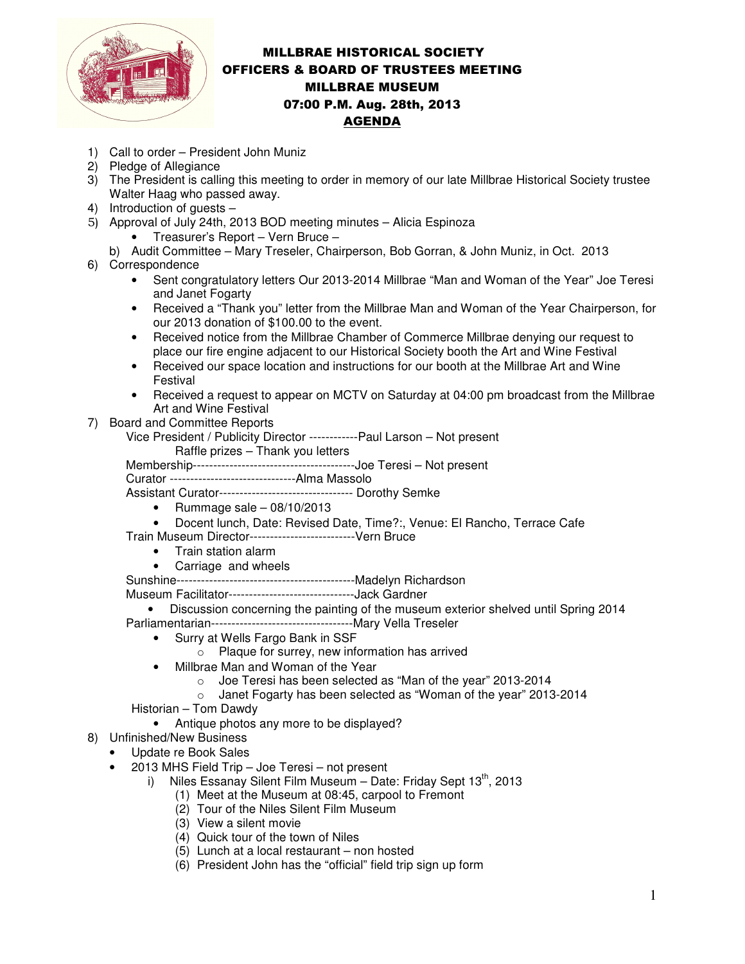

## MILLBRAE HISTORICAL SOCIETY OFFICERS & BOARD OF TRUSTEES MEETING MILLBRAE MUSEUM 07:00 P.M. Aug. 28th, 2013 AGENDA

- 1) Call to order President John Muniz
- 2) Pledge of Allegiance
- 3) The President is calling this meeting to order in memory of our late Millbrae Historical Society trustee Walter Haag who passed away.
- 4) Introduction of guests –
- 5) Approval of July 24th, 2013 BOD meeting minutes Alicia Espinoza
	- Treasurer's Report Vern Bruce –
	- b) Audit Committee Mary Treseler, Chairperson, Bob Gorran, & John Muniz, in Oct. 2013
- 6) Correspondence
	- Sent congratulatory letters Our 2013-2014 Millbrae "Man and Woman of the Year" Joe Teresi and Janet Fogarty
	- Received a "Thank you" letter from the Millbrae Man and Woman of the Year Chairperson, for our 2013 donation of \$100.00 to the event.
	- Received notice from the Millbrae Chamber of Commerce Millbrae denying our request to place our fire engine adjacent to our Historical Society booth the Art and Wine Festival
	- Received our space location and instructions for our booth at the Millbrae Art and Wine Festival
	- Received a request to appear on MCTV on Saturday at 04:00 pm broadcast from the Millbrae Art and Wine Festival
- 7) Board and Committee Reports
	- Vice President / Publicity Director ------------Paul Larson Not present Raffle prizes – Thank you letters

Membership----------------------------------------Joe Teresi – Not present

Curator -------------------------------Alma Massolo

Assistant Curator--------------------------------- Dorothy Semke

- Rummage sale 08/10/2013
- Docent lunch, Date: Revised Date, Time?:, Venue: El Rancho, Terrace Cafe

Train Museum Director--------------------------Vern Bruce

- Train station alarm
- Carriage and wheels
- Sunshine--------------------------------------------Madelyn Richardson

Museum Facilitator-------------------------------Jack Gardner

• Discussion concerning the painting of the museum exterior shelved until Spring 2014 Parliamentarian-----------------------------------Mary Vella Treseler

- Surry at Wells Fargo Bank in SSF
	- o Plaque for surrey, new information has arrived
- Millbrae Man and Woman of the Year
	- o Joe Teresi has been selected as "Man of the year" 2013-2014
	- o Janet Fogarty has been selected as "Woman of the year" 2013-2014

Historian – Tom Dawdy

- Antique photos any more to be displayed?
- 8) Unfinished/New Business
	- Update re Book Sales
		- 2013 MHS Field Trip Joe Teresi not present
			- i) Niles Essanay Silent Film Museum Date: Friday Sept  $13<sup>th</sup>$ , 2013
				- (1) Meet at the Museum at 08:45, carpool to Fremont
					- (2) Tour of the Niles Silent Film Museum
					- (3) View a silent movie
					- (4) Quick tour of the town of Niles
					- (5) Lunch at a local restaurant non hosted
					- (6) President John has the "official" field trip sign up form